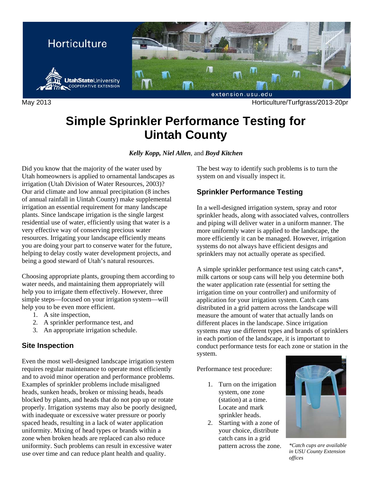

May 2013 Horticulture/Turfgrass/2013-20pr

# **Simple Sprinkler Performance Testing for Uintah County**

*Kelly Kopp, Niel Allen*, and *Boyd Kitchen* 

Did you know that the majority of the water used by Utah homeowners is applied to ornamental landscapes as irrigation (Utah Division of Water Resources, 2003)? Our arid climate and low annual precipitation (8 inches of annual rainfall in Uintah County) make supplemental irrigation an essential requirement for many landscape plants. Since landscape irrigation is the single largest residential use of water, efficiently using that water is a very effective way of conserving precious water resources. Irrigating your landscape efficiently means you are doing your part to conserve water for the future, helping to delay costly water development projects, and being a good steward of Utah's natural resources.

Choosing appropriate plants, grouping them according to water needs, and maintaining them appropriately will help you to irrigate them effectively. However, three simple steps—focused on your irrigation system—will help you to be even more efficient.

- 1. A site inspection,
- 2. A sprinkler performance test, and
- 3. An appropriate irrigation schedule.

## **Site Inspection**

Even the most well-designed landscape irrigation system requires regular maintenance to operate most efficiently and to avoid minor operation and performance problems. Examples of sprinkler problems include misaligned heads, sunken heads, broken or missing heads, heads blocked by plants, and heads that do not pop up or rotate properly. Irrigation systems may also be poorly designed, with inadequate or excessive water pressure or poorly spaced heads, resulting in a lack of water application uniformity. Mixing of head types or brands within a zone when broken heads are replaced can also reduce uniformity. Such problems can result in excessive water use over time and can reduce plant health and quality.

The best way to identify such problems is to turn the system on and visually inspect it.

## **Sprinkler Performance Testing**

In a well-designed irrigation system, spray and rotor sprinkler heads, along with associated valves, controllers and piping will deliver water in a uniform manner. The more uniformly water is applied to the landscape, the more efficiently it can be managed. However, irrigation systems do not always have efficient designs and sprinklers may not actually operate as specified.

A simple sprinkler performance test using catch cans\*, milk cartons or soup cans will help you determine both the water application rate (essential for setting the irrigation time on your controller) and uniformity of application for your irrigation system. Catch cans distributed in a grid pattern across the landscape will measure the amount of water that actually lands on different places in the landscape. Since irrigation systems may use different types and brands of sprinklers in each portion of the landscape, it is important to conduct performance tests for each zone or station in the system.

Performance test procedure:

- 1. Turn on the irrigation system, one zone (station) at a time. Locate and mark sprinkler heads.
- 2. Starting with a zone of your choice, distribute catch cans in a grid pattern across the zone. *\*Catch cups are available*



*in USU County Extension offices*